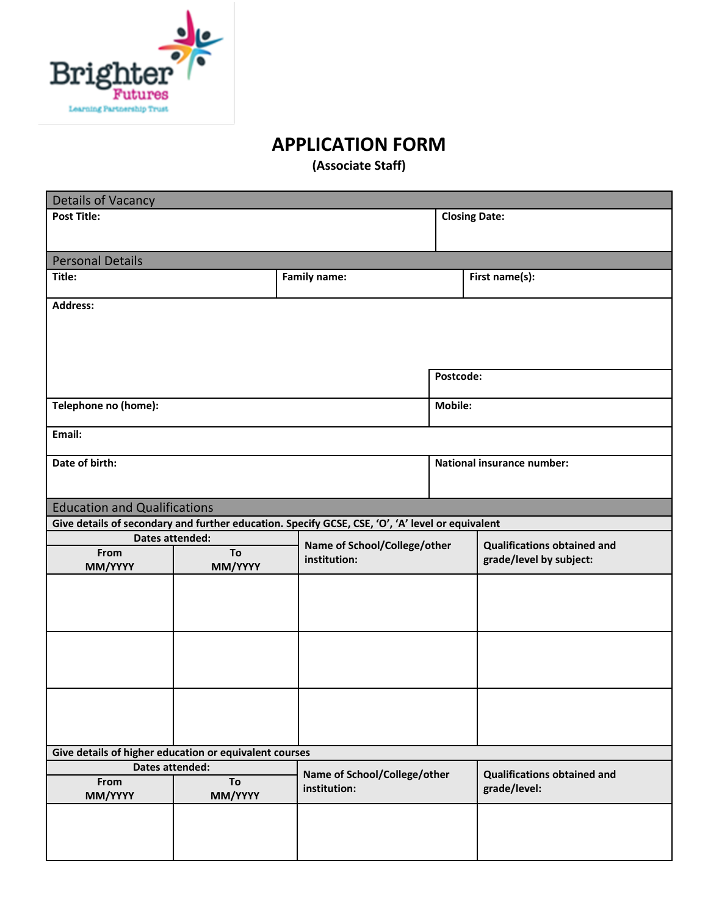

# **APPLICATION FORM**

**(Associate Staff)**

| <b>Details of Vacancy</b>                              |                              |                                                                                                  |                                    |                                    |  |  |
|--------------------------------------------------------|------------------------------|--------------------------------------------------------------------------------------------------|------------------------------------|------------------------------------|--|--|
| <b>Post Title:</b>                                     |                              |                                                                                                  | <b>Closing Date:</b>               |                                    |  |  |
|                                                        |                              |                                                                                                  |                                    |                                    |  |  |
| <b>Personal Details</b>                                |                              |                                                                                                  |                                    |                                    |  |  |
| Title:                                                 |                              | <b>Family name:</b>                                                                              |                                    | First name(s):                     |  |  |
| <b>Address:</b>                                        |                              |                                                                                                  |                                    |                                    |  |  |
|                                                        |                              |                                                                                                  |                                    |                                    |  |  |
|                                                        |                              |                                                                                                  |                                    |                                    |  |  |
|                                                        |                              |                                                                                                  |                                    |                                    |  |  |
|                                                        |                              |                                                                                                  | Postcode:                          |                                    |  |  |
| Telephone no (home):                                   |                              |                                                                                                  | Mobile:                            |                                    |  |  |
| Email:                                                 |                              |                                                                                                  |                                    |                                    |  |  |
| Date of birth:                                         |                              |                                                                                                  |                                    | <b>National insurance number:</b>  |  |  |
|                                                        |                              |                                                                                                  |                                    |                                    |  |  |
| <b>Education and Qualifications</b>                    |                              |                                                                                                  |                                    |                                    |  |  |
|                                                        |                              | Give details of secondary and further education. Specify GCSE, CSE, 'O', 'A' level or equivalent |                                    |                                    |  |  |
| Dates attended:                                        | Name of School/College/other |                                                                                                  | <b>Qualifications obtained and</b> |                                    |  |  |
| From                                                   | To                           | institution:                                                                                     |                                    | grade/level by subject:            |  |  |
| MM/YYYY                                                | MM/YYYY                      |                                                                                                  |                                    |                                    |  |  |
|                                                        |                              |                                                                                                  |                                    |                                    |  |  |
|                                                        |                              |                                                                                                  |                                    |                                    |  |  |
|                                                        |                              |                                                                                                  |                                    |                                    |  |  |
|                                                        |                              |                                                                                                  |                                    |                                    |  |  |
|                                                        |                              |                                                                                                  |                                    |                                    |  |  |
|                                                        |                              |                                                                                                  |                                    |                                    |  |  |
|                                                        |                              |                                                                                                  |                                    |                                    |  |  |
|                                                        |                              |                                                                                                  |                                    |                                    |  |  |
| Give details of higher education or equivalent courses |                              |                                                                                                  |                                    |                                    |  |  |
| <b>Dates attended:</b>                                 |                              |                                                                                                  |                                    |                                    |  |  |
| From                                                   | To                           | Name of School/College/other                                                                     |                                    | <b>Qualifications obtained and</b> |  |  |
| MM/YYYY                                                | MM/YYYY                      | institution:                                                                                     |                                    | grade/level:                       |  |  |
|                                                        |                              |                                                                                                  |                                    |                                    |  |  |
|                                                        |                              |                                                                                                  |                                    |                                    |  |  |
|                                                        |                              |                                                                                                  |                                    |                                    |  |  |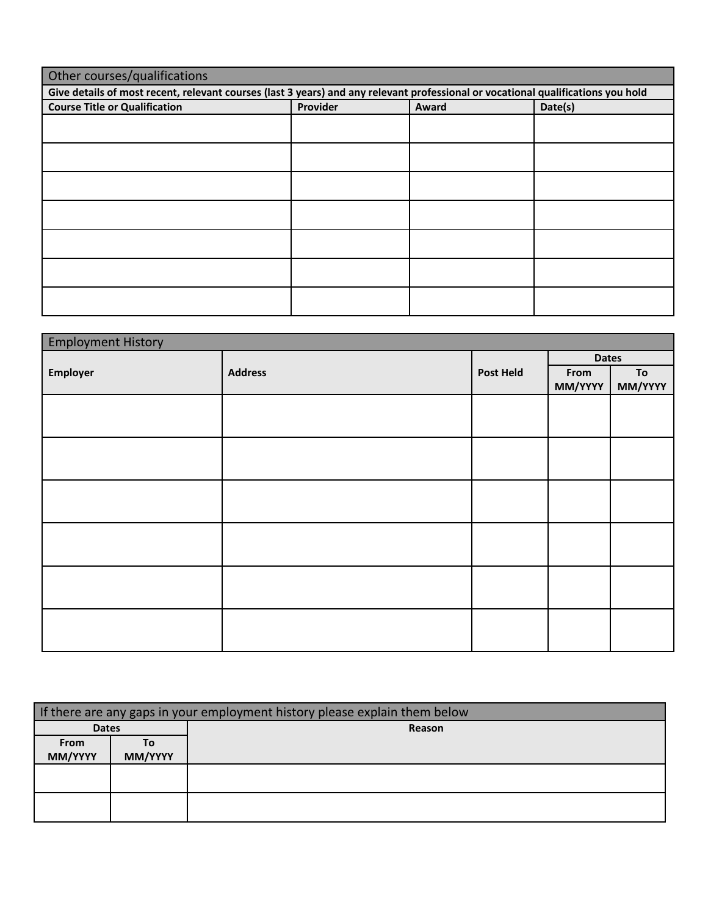| Other courses/qualifications                                                                                                     |  |  |  |  |  |  |  |  |
|----------------------------------------------------------------------------------------------------------------------------------|--|--|--|--|--|--|--|--|
| Give details of most recent, relevant courses (last 3 years) and any relevant professional or vocational qualifications you hold |  |  |  |  |  |  |  |  |
| Provider<br>Date(s)<br><b>Course Title or Qualification</b><br>Award                                                             |  |  |  |  |  |  |  |  |
|                                                                                                                                  |  |  |  |  |  |  |  |  |
|                                                                                                                                  |  |  |  |  |  |  |  |  |
|                                                                                                                                  |  |  |  |  |  |  |  |  |
|                                                                                                                                  |  |  |  |  |  |  |  |  |
|                                                                                                                                  |  |  |  |  |  |  |  |  |
|                                                                                                                                  |  |  |  |  |  |  |  |  |
|                                                                                                                                  |  |  |  |  |  |  |  |  |
|                                                                                                                                  |  |  |  |  |  |  |  |  |
|                                                                                                                                  |  |  |  |  |  |  |  |  |
|                                                                                                                                  |  |  |  |  |  |  |  |  |
|                                                                                                                                  |  |  |  |  |  |  |  |  |
|                                                                                                                                  |  |  |  |  |  |  |  |  |
|                                                                                                                                  |  |  |  |  |  |  |  |  |
|                                                                                                                                  |  |  |  |  |  |  |  |  |

| <b>Employment History</b> |                |                  |                 |               |  |
|---------------------------|----------------|------------------|-----------------|---------------|--|
|                           |                |                  | <b>Dates</b>    |               |  |
| Employer                  | <b>Address</b> | <b>Post Held</b> | From<br>MM/YYYY | To<br>MM/YYYY |  |
|                           |                |                  |                 |               |  |
|                           |                |                  |                 |               |  |
|                           |                |                  |                 |               |  |
|                           |                |                  |                 |               |  |
|                           |                |                  |                 |               |  |
|                           |                |                  |                 |               |  |

| If there are any gaps in your employment history please explain them below |         |        |  |  |  |  |
|----------------------------------------------------------------------------|---------|--------|--|--|--|--|
| <b>Dates</b>                                                               |         | Reason |  |  |  |  |
| From                                                                       | Τo      |        |  |  |  |  |
| MM/YYYY                                                                    | MM/YYYY |        |  |  |  |  |
|                                                                            |         |        |  |  |  |  |
|                                                                            |         |        |  |  |  |  |
|                                                                            |         |        |  |  |  |  |
|                                                                            |         |        |  |  |  |  |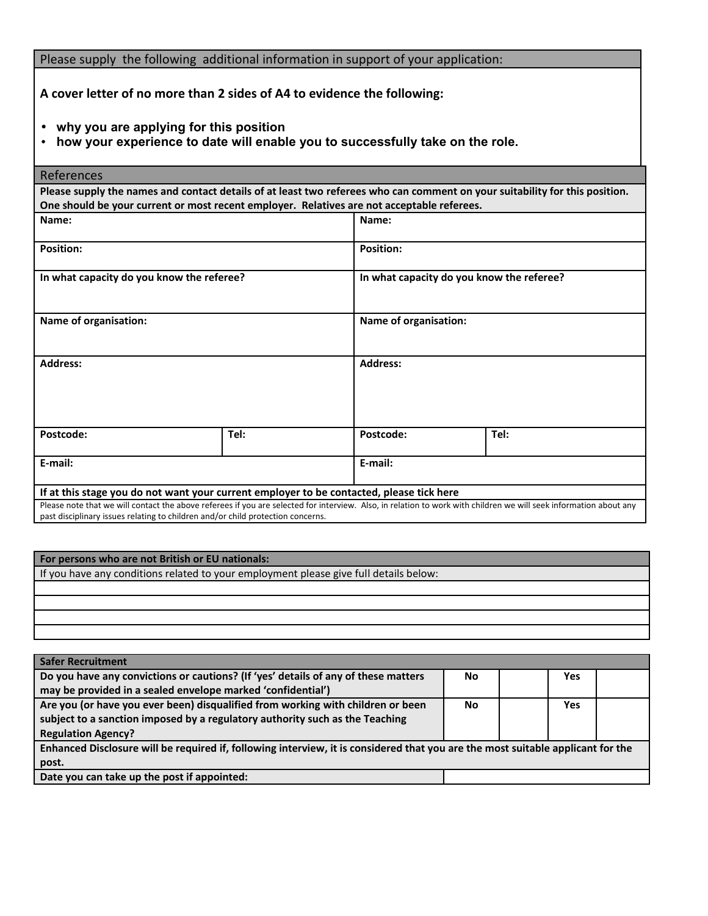Please supply the following additional information in support of your application:

**A cover letter of no more than 2 sides of A4 to evidence the following:**

- **why you are applying for this position**
- **how your experience to date will enable you to successfully take on the role.**

| <b>References</b>                                                                                                                                                                                                                                    |      |                                           |      |  |  |  |
|------------------------------------------------------------------------------------------------------------------------------------------------------------------------------------------------------------------------------------------------------|------|-------------------------------------------|------|--|--|--|
| Please supply the names and contact details of at least two referees who can comment on your suitability for this position.<br>One should be your current or most recent employer. Relatives are not acceptable referees.                            |      |                                           |      |  |  |  |
| Name:                                                                                                                                                                                                                                                |      | Name:                                     |      |  |  |  |
| <b>Position:</b>                                                                                                                                                                                                                                     |      | <b>Position:</b>                          |      |  |  |  |
| In what capacity do you know the referee?                                                                                                                                                                                                            |      | In what capacity do you know the referee? |      |  |  |  |
| Name of organisation:                                                                                                                                                                                                                                |      | Name of organisation:                     |      |  |  |  |
| <b>Address:</b>                                                                                                                                                                                                                                      |      | <b>Address:</b>                           |      |  |  |  |
| Postcode:                                                                                                                                                                                                                                            | Tel: | Postcode:                                 | Tel: |  |  |  |
| E-mail:                                                                                                                                                                                                                                              |      | E-mail:                                   |      |  |  |  |
| If at this stage you do not want your current employer to be contacted, please tick here                                                                                                                                                             |      |                                           |      |  |  |  |
| Please note that we will contact the above referees if you are selected for interview. Also, in relation to work with children we will seek information about any<br>past disciplinary issues relating to children and/or child protection concerns. |      |                                           |      |  |  |  |

### **For persons who are not British or EU nationals:**

If you have any conditions related to your employment please give full details below:

| Safer Recruitment                                                                                                               |           |     |  |
|---------------------------------------------------------------------------------------------------------------------------------|-----------|-----|--|
| Do you have any convictions or cautions? (If 'yes' details of any of these matters                                              | No        | Yes |  |
| may be provided in a sealed envelope marked 'confidential')                                                                     |           |     |  |
| Are you (or have you ever been) disqualified from working with children or been                                                 | <b>No</b> | Yes |  |
| subject to a sanction imposed by a regulatory authority such as the Teaching                                                    |           |     |  |
| <b>Regulation Agency?</b>                                                                                                       |           |     |  |
| Enhanced Disclosure will be required if, following interview, it is considered that you are the most suitable applicant for the |           |     |  |
| post.                                                                                                                           |           |     |  |
| Date you can take up the post if appointed:                                                                                     |           |     |  |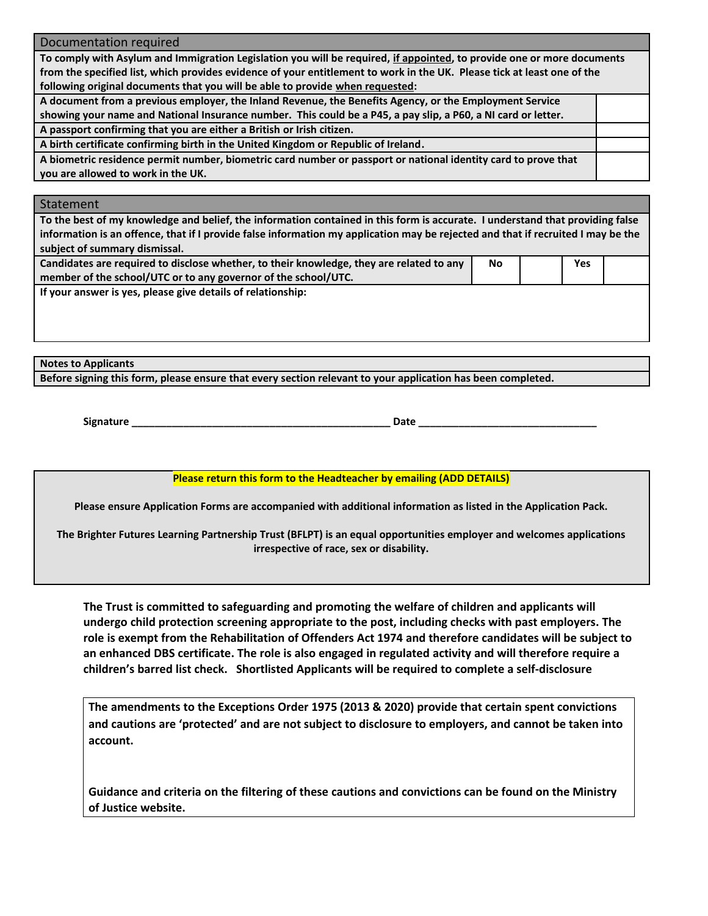Documentation required

**To comply with Asylum and Immigration Legislation you will be required, if appointed, to provide one or more documents from the specified list, which provides evidence of your entitlement to work in the UK. Please tick at least one of the following original documents that you will be able to provide when requested:**

**A document from a previous employer, the Inland Revenue, the Benefits Agency, or the Employment Service showing your name and National Insurance number. This could be a P45, a pay slip, a P60, a NI card or letter. A passport confirming that you are either a British or Irish citizen.**

**A birth certificate confirming birth in the United Kingdom or Republic of Ireland.**

**A biometric residence permit number, biometric card number or passport or national identity card to prove that you are allowed to work in the UK.**

### Statement

**To the best of my knowledge and belief, the information contained in this form is accurate. I understand that providing false information is an offence, that if I provide false information my application may be rejected and that if recruited I may be the subject of summary dismissal.** 

| Candidates are required to disclose whether, to their knowledge, they are related to any | No | Yes |  |
|------------------------------------------------------------------------------------------|----|-----|--|
| member of the school/UTC or to any governor of the school/UTC.                           |    |     |  |
| If your answer is yes, please give details of relationship:                              |    |     |  |

**Notes to Applicants**

**Before signing this form, please ensure that every section relevant to your application has been completed.** 

**Signature \_\_\_\_\_\_\_\_\_\_\_\_\_\_\_\_\_\_\_\_\_\_\_\_\_\_\_\_\_\_\_\_\_\_\_\_\_\_\_\_\_\_\_\_\_ Date \_\_\_\_\_\_\_\_\_\_\_\_\_\_\_\_\_\_\_\_\_\_\_\_\_\_\_\_\_\_\_**

**Please return this form to the Headteacher by emailing (ADD DETAILS)**

**Please ensure Application Forms are accompanied with additional information as listed in the Application Pack.**

**The Brighter Futures Learning Partnership Trust (BFLPT) is an equal opportunities employer and welcomes applications irrespective of race, sex or disability.**

**The Trust is committed to safeguarding and promoting the welfare of children and applicants will undergo child protection screening appropriate to the post, including checks with past employers. The role is exempt from the Rehabilitation of Offenders Act 1974 and therefore candidates will be subject to an enhanced DBS certificate. The role is also engaged in regulated activity and will therefore require a children's barred list check. Shortlisted Applicants will be required to complete a self-disclosure**

**The amendments to the Exceptions Order 1975 (2013 & 2020) provide that certain spent convictions and cautions are 'protected' and are not subject to disclosure to employers, and cannot be taken into account.**

**Guidance and criteria on the filtering of these cautions and convictions can be found on the Ministry of Justice website.**